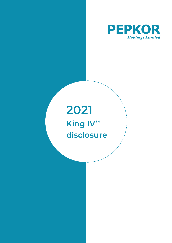

## **2021 King IV™ disclosure**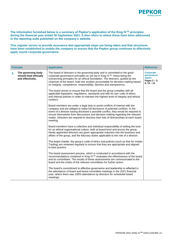

**The information furnished below is a summary of Pepkor's application of the King IV™ principles during the financial year ended 30 September 2021. It also refers to where these have been addressed in the reporting suite published on the company's website.** 

**This register serves to provide assurance that appropriate steps are being taken and that structures have been established to enable the company to ensure that the Pepkor group continues to effectively apply sound corporate governance.**

|    | <b>Principle</b>                                                | <b>Application</b>                                                                                                                                                                                                                                                                                                                                                                                                                          | <b>Reference</b>                                                            |
|----|-----------------------------------------------------------------|---------------------------------------------------------------------------------------------------------------------------------------------------------------------------------------------------------------------------------------------------------------------------------------------------------------------------------------------------------------------------------------------------------------------------------------------|-----------------------------------------------------------------------------|
| 1. | The governing body<br>should lead ethically<br>and effectively. | The board of directors is the governing body and is committed to the good<br>corporate governance principles as set out in King IV™, these being the<br>overarching principles for an ethical foundation. The directors, guided by the<br>chairman of the board, hold one another accountable for decision-making based<br>on integrity, competence, responsibility, fairness and transparency.                                             | <b>Corporate</b><br>governance<br>report<br>Pages $2 - 3$ ,<br>$6, 13 - 14$ |
|    |                                                                 | The board strives to ensure that the board and the group complies with all<br>applicable legislation, regulations, standards and with its own code of ethics<br>and internal policies in order to maintain the highest level of integrity and ethical<br>conduct.                                                                                                                                                                           |                                                                             |
|    |                                                                 | Board members are under a legal duty to avoid conflicts of interest with the<br>company and are obliged to make full disclosure of potential conflicts. In the<br>event of a director having disclosed a possible conflict, they would be required to<br>recuse themselves from discussions and decision making regarding the relevant<br>matter. Directors are required to disclose their lists of directorships at each board<br>meeting. |                                                                             |
|    |                                                                 | Board members have a collective and individual responsibility of setting the tone<br>for an ethical organisational culture, both at board level and across the group.<br>Newly appointed directors are given appropriate induction into the business and<br>affairs of the group, and the fiduciary duties applicable to the role of a director.                                                                                            |                                                                             |
|    |                                                                 | The board charter, the group's code of ethics and policies (such as that for Insider<br>Trading) are reviewed regularly to ensure that they are appropriate and aligned<br>to best practice.                                                                                                                                                                                                                                                |                                                                             |
|    |                                                                 | The board assessment process, which is conducted in accordance with the<br>recommendations contained in King IV™ evaluates the effectiveness of the board<br>and its committees. The results of these assessments are communicated to the<br>board and the chairs of the relevant committees for further action.                                                                                                                            |                                                                             |
|    |                                                                 | The board's commitment to effective governance and leadership is reflected in<br>the attendance of board and board committee meetings in the 2021 financial<br>year, where there was 100% attendance by directors for scheduled board<br>meetings.                                                                                                                                                                                          |                                                                             |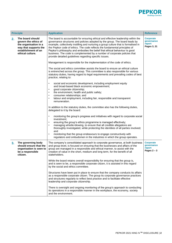

| <b>Principle</b> |                                                                                                                                       | <b>Application</b>                                                                                                                                                                                                                                                                                                                                                                                                                                                                                                                                          | <b>Reference</b>                                          |
|------------------|---------------------------------------------------------------------------------------------------------------------------------------|-------------------------------------------------------------------------------------------------------------------------------------------------------------------------------------------------------------------------------------------------------------------------------------------------------------------------------------------------------------------------------------------------------------------------------------------------------------------------------------------------------------------------------------------------------------|-----------------------------------------------------------|
| 2.               | The board should<br>govern the ethics of<br>the organisation in a<br>way that supports the<br>establishment of an<br>ethical culture. | The board is accountable for ensuring ethical and effective leadership within the<br>governance structures and policies adopted by the group. The board leads by<br>example, collectively instilling and nurturing a group culture that is formalised in<br>the Pepkor code of ethics. The code reflects the fundamental principles of<br>Pepkor's philosophy and embodies the belief that ethical behaviour is good<br>business. The code is complemented by a number of corporate policies that<br>provide detailed guidelines regarding specific issues. | <b>Corporate</b><br>governance<br>report<br>Pages 3, 21   |
|                  |                                                                                                                                       | Management is responsible for the implementation of the code of ethics.                                                                                                                                                                                                                                                                                                                                                                                                                                                                                     |                                                           |
|                  |                                                                                                                                       | The social and ethics committee assists the board to ensure an ethical culture<br>is entrenched across the group. This committee is also responsible for various<br>statutory duties, having regard to legal requirements and prevailing codes of best<br>practice, relating to:                                                                                                                                                                                                                                                                            |                                                           |
|                  |                                                                                                                                       | social and economic development, including employment equity<br>$\bullet$<br>and broad-based black economic empowerment;<br>good corporate citizenship;                                                                                                                                                                                                                                                                                                                                                                                                     |                                                           |
|                  |                                                                                                                                       | the environment, health and public safety;<br>$\bullet$<br>consumer relationships; and                                                                                                                                                                                                                                                                                                                                                                                                                                                                      |                                                           |
|                  |                                                                                                                                       | labour and employment, including fair, responsible and transparent<br>remuneration.                                                                                                                                                                                                                                                                                                                                                                                                                                                                         |                                                           |
|                  |                                                                                                                                       | In addition to the statutory duties, the committee also has the following duties,<br>delegated to it by the board:                                                                                                                                                                                                                                                                                                                                                                                                                                          |                                                           |
|                  |                                                                                                                                       | monitoring the group's progress and initiatives with regard to corporate social<br>$\bullet$<br>investment;                                                                                                                                                                                                                                                                                                                                                                                                                                                 |                                                           |
|                  |                                                                                                                                       | ensuring the group's ethics programme is managed effectively;<br>managing whistle-blowing, to ensure that all credible allegations are<br>thoroughly investigated, while protecting the identities of all parties involved;<br>and                                                                                                                                                                                                                                                                                                                          |                                                           |
|                  |                                                                                                                                       | monitoring that the group endeavours to engage constructively with<br>regulators and ombudsmen in the industries in which the group operates.                                                                                                                                                                                                                                                                                                                                                                                                               |                                                           |
| 3.               | The governing body<br>should ensure that the<br>organisation is seen to<br>be a responsible<br>citizen.                               | The company's consolidated approach to corporate governance, at both business<br>and group level, is focused on ensuring that the businesses and affairs of the<br>group are managed in a responsible and ethical manner, to assist with the<br>creation of value in the short, medium and long term, for the benefit of all<br>stakeholders.                                                                                                                                                                                                               | <b>Corporate</b><br>governance<br>report<br>Pages $2 - 3$ |
|                  |                                                                                                                                       | While the board retains overall responsibility for ensuring that the group is,<br>and is seen to be, a responsible corporate citizen, it is assisted in this regard<br>by the social and ethics committee.                                                                                                                                                                                                                                                                                                                                                  |                                                           |
|                  |                                                                                                                                       | Structures have been put in place to ensure that the company conducts its affairs<br>as a responsible corporate citizen. The group its corporate governance practices<br>and structures regularly to reflect best practice and to facilitate effective<br>leadership and corporate citizenship.                                                                                                                                                                                                                                                             |                                                           |
|                  |                                                                                                                                       | There is oversight and ongoing monitoring of the group's approach to conducting<br>its operations in a responsible manner in the workplace, the economy, society<br>and the environment.                                                                                                                                                                                                                                                                                                                                                                    |                                                           |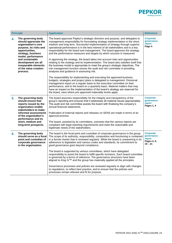

| <b>Principle</b> |                                                                                                                                                                                                                                                                   | <b>Application</b>                                                                                                                                                                                                                                                                                                                                                                                                                                                                                                                                                                                                                                                                                                                                                                                                                                                                                                                                                                                                                                                                                                                                                                                                                                                                                                                                               | <b>Reference</b>                                                     |
|------------------|-------------------------------------------------------------------------------------------------------------------------------------------------------------------------------------------------------------------------------------------------------------------|------------------------------------------------------------------------------------------------------------------------------------------------------------------------------------------------------------------------------------------------------------------------------------------------------------------------------------------------------------------------------------------------------------------------------------------------------------------------------------------------------------------------------------------------------------------------------------------------------------------------------------------------------------------------------------------------------------------------------------------------------------------------------------------------------------------------------------------------------------------------------------------------------------------------------------------------------------------------------------------------------------------------------------------------------------------------------------------------------------------------------------------------------------------------------------------------------------------------------------------------------------------------------------------------------------------------------------------------------------------|----------------------------------------------------------------------|
| 4.               | The governing body<br>should appreciate the<br>organisation's core<br>purpose, its risks and<br>opportunities,<br>strategy, business<br>model, performance<br>and sustainable<br>development are all<br>inseparable elements<br>of the value creation<br>process. | The board approves Pepkor's strategic direction and purpose, and delegates to<br>management responsibility for formulating strategy implementation in the short,<br>medium and long term. Successful implementation of strategy through superior<br>operational performance is in the best interest of all stakeholders and is a key<br>responsibility for the board and management. The board approves the strategy<br>and the performance measures and targets by which success is measured.<br>In approving the strategy, the board takes into account risks and opportunities<br>relating to the strategy and its implementation. The board also satisfies itself that<br>the business model is appropriate to meet the group's strategic objectives. The<br>risk management function assists the audit and risk committee in providing<br>analyses and guidance in assessing risk.<br>The responsibility for implementing and executing the approved business<br>budgets, strategies and project plans is delegated to management. Divisional<br>management report on a regular basis to the executive committee on their<br>performance, and to the board on a quarterly basis. Material matters that may<br>have an impact on the implementation of the board's strategy are reserved for<br>the board, save where pre-approved materiality levels apply. | <b>Corporate</b><br>governance<br>report<br>Page 4                   |
| 5.               | The governing body<br>should ensure that<br>reports issued by the<br>organisation enable<br>stakeholders to make<br>informed assessments<br>of the organisation's<br>performance and its<br>short, medium and<br>long-term prospects.                             | The board assumes responsibility for the integrity and transparency of the<br>group's reporting and ensures that it addresses all material issues appropriately.<br>The audit and risk committee assists the board with finalising the company's<br>annual financial statements.<br>Publication of external reports and releases on SENS are made in terms of an<br>approval process.<br>The board, assisted by its committees, oversees that the various reports are<br>compliant with legal reporting requirements and meet the reasonable and<br>legitimate needs of the stakeholders.                                                                                                                                                                                                                                                                                                                                                                                                                                                                                                                                                                                                                                                                                                                                                                        | <b>Corporate</b><br>governance<br>report<br>Pages 1, 4               |
| 6.               | The governing body<br>should serve as a focal<br>point and custodian of<br>corporate governance<br>in the organisation.                                                                                                                                           | The board is the focal point and custodian of corporate governance in the group.<br>The scope of its authority, responsibility, composition and functioning is contained<br>in a formal charter that is reviewed regularly. While the board is unwavering in its<br>adherence to legislation and various codes and standards, its commitment to<br>good governance goes beyond compliance.<br>The board is supported by various committees, which have delegated<br>responsibility to assist the board to fulfill specific functions. Each board committee<br>is governed by a terms of reference. The governance structures have been<br>aligned to King IV™ and the group has materially applied all the principles.<br>Governance processes and policies are reviewed regularly to align with changes<br>to regulations, to reflect best practice, and to ensure that the policies and<br>processes remain relevant and fit for purpose.                                                                                                                                                                                                                                                                                                                                                                                                                      | <b>Corporate</b><br>governance<br>report<br>Pages 4, 6,<br>$19 - 21$ |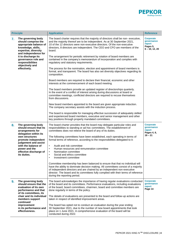

| <b>Principle</b> |                                                                                                                                                                                                                                                | <b>Application</b>                                                                                                                                                                                                                                                                                                                                                                                                                                                                                                                                                                                                                                                                                                                                                                                                                                                                                                                                                                                                                                                                                                                                                                                                                                                                                                                                                                                                                                                                                | <b>Reference</b>                                                         |
|------------------|------------------------------------------------------------------------------------------------------------------------------------------------------------------------------------------------------------------------------------------------|---------------------------------------------------------------------------------------------------------------------------------------------------------------------------------------------------------------------------------------------------------------------------------------------------------------------------------------------------------------------------------------------------------------------------------------------------------------------------------------------------------------------------------------------------------------------------------------------------------------------------------------------------------------------------------------------------------------------------------------------------------------------------------------------------------------------------------------------------------------------------------------------------------------------------------------------------------------------------------------------------------------------------------------------------------------------------------------------------------------------------------------------------------------------------------------------------------------------------------------------------------------------------------------------------------------------------------------------------------------------------------------------------------------------------------------------------------------------------------------------------|--------------------------------------------------------------------------|
| 7.               | The governing body<br>should comprise the<br>appropriate balance of<br>knowledge, skills,<br>expertise, diversity<br>and independence for<br>it to discharge its<br>governance role and<br>responsibilities<br>objectively and<br>effectively. | The board charter requires that the majority of directors shall be non-executive,<br>and the majority thereof are to be independent. As at 30 September 2021,<br>10 of the 12 directors were non-executive directors. Of the non-executive<br>directors, 8 directors are independent. The CEO and CFO are members of the<br>board.<br>The arrangement for periodic retirement by rotation of board members are<br>contained in the company's memorandum of incorporation and complies with<br>regulatory and statutory requirements.<br>The process for the nomination, election and appointment of board members is<br>formal, and transparent. The board has also set diversity objectives regarding its<br>composition.<br>Board members are required to declare their financial, economic and other<br>interests at the commencement of each board meeting.<br>The board members provide an updated register of directorships quarterly.<br>In the event of a conflict of interest arising during discussions at board or<br>committee meetings, conflicted directors are required to recuse themselves<br>from discussions.<br>New board members appointed to the board are given appropriate induction.<br>The company secretary assists with the induction process.<br>The board is responsible for managing effective succession of adequately skilled<br>and experienced board members, executive and senior management and other<br>key positions through properly mandated committees. | <b>Corporate</b><br>governance<br>report<br>Pages 5,<br>$6 - 10, 12, 20$ |
| 8.               | The governing body<br>should ensure that its<br>arrangements for<br>delegation within its<br>own structures<br>promote independent<br>judgement and assist<br>with the balance of<br>power and the<br>effective discharge of<br>its duties.    | The board charter provides that the board may delegate particular roles and<br>responsibilities to standing or ad hoc committees. The establishment of<br>committees does not relieve the board of any of its duties.<br>The following committees have been established, each operating in terms of<br>formal terms of reference, according to the responsibilities delegated to it:<br>Audit and risk committee<br>$\bullet$<br>Human resources and remuneration committee<br>$\bullet$<br>Nomination committee<br>$\bullet$<br>Social and ethics committee<br>$\bullet$<br>$\bullet$<br>Investment committee<br>Committee membership has been balanced to ensure that that no individual will<br>have the ability to dominate decision making. All committees consist of a majority<br>of independent directors and are chaired by an independent non-executive<br>director. The board and its committees fully complied with their terms of reference<br>during the reporting period.                                                                                                                                                                                                                                                                                                                                                                                                                                                                                                          | <b>Corporate</b><br>governance<br>report<br>Pages 4, 6,<br>$19 - 21$     |
| 9.               | The governing body<br>should ensure that the<br>evaluation of its own<br>performance and that<br>of its committees, its<br>chair and its individual<br>members support<br>continued<br>improvement<br>in its performance and<br>effectiveness. | The board acknowledges the importance of having regular evaluations conducted<br>of the board and its committees. Performance evaluations, including evaluations<br>of the board, board committees, chairmen, board and committee members are<br>done regularly in terms of the policy.<br>The details of evaluations are presented to the board and follow-up actions are<br>taken in respect of identified improvement areas.<br>The board has opted not to conduct an evaluation during the year ending<br>30 September 2021, due to the number of new board appointments that took<br>place on 1 June 2021. A comprehensive evaluation of the board will be<br>conducted during 2022.                                                                                                                                                                                                                                                                                                                                                                                                                                                                                                                                                                                                                                                                                                                                                                                                         | <b>Corporate</b><br>governance<br>report<br>Page 14                      |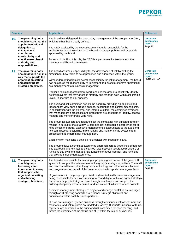

| <b>Principle</b>                                                                                          | <b>Application</b>                                                                                                                                                                                                                                                                                                                                                             | <b>Reference</b>                                          |
|-----------------------------------------------------------------------------------------------------------|--------------------------------------------------------------------------------------------------------------------------------------------------------------------------------------------------------------------------------------------------------------------------------------------------------------------------------------------------------------------------------|-----------------------------------------------------------|
| 10. The governing body<br>should ensure that the<br>appointment of, and                                   | The board has delegated the day-to-day management of the group to the CEO,<br>which role has been clearly defined.                                                                                                                                                                                                                                                             | <b>Corporate</b><br>governance<br>report                  |
| delegation to,<br>management<br>contributes<br>to role clarity and                                        | The CEO, assisted by the executive committee, is responsible for the<br>implementation and execution of the board's strategy, policies and proposals<br>approved by the board.                                                                                                                                                                                                 | Page 12                                                   |
| effective exercise of<br>authority and<br>responsibilities.                                               | To assist in fulfilling this role, the CEO is a permanent invitee to attend the<br>meetings of all board committees.                                                                                                                                                                                                                                                           |                                                           |
| 11. The governing body<br>should govern risk in a                                                         | The board assumes responsibility for the governance of risk by setting the<br>direction for how risk is to be approached and addressed within the group.                                                                                                                                                                                                                       | <b>Corporate</b><br>governance<br>report<br>Pages 15 - 17 |
| way that supports the<br>organisation setting<br>and achieving its<br>strategic objectives.               | Without derogating from its overall responsibility for risk management, the board<br>has delegated the responsibility to implement and execute effective operational<br>risk management to business management.                                                                                                                                                                |                                                           |
|                                                                                                           | Pepkor's risk management framework enables the group to effectively identify<br>potential events that may affect its strategy and manage risks within acceptable<br>levels, in line with its risk appetite.                                                                                                                                                                    |                                                           |
|                                                                                                           | The audit and risk committee assists the board by providing an objective and<br>independent view on the group's finance, accounting and control mechanisms.<br>In consultation with the external and internal auditors, the committee oversees<br>that management's processes and procedures are adequate to identify, assess,<br>manage and monitor group-wide risks.         |                                                           |
|                                                                                                           | The group risk appetite and tolerance set the context for risk-adjusted decision-<br>making in pursuit of the strategy. A common risk approach is established for all<br>risks across the group. Executive management is accountable to the audit and<br>risk committee for designing, implementing and monitoring the systems and<br>processes that underpin risk management. |                                                           |
|                                                                                                           | Each division maintains a detailed risk register with mitigation plans.                                                                                                                                                                                                                                                                                                        |                                                           |
|                                                                                                           | The group follows a combined assurance approach across three lines of defence.<br>The approach differentiates and clarifies roles between assurance providers or<br>functions that own and manage risk, functions that oversee risk, and functions<br>that provide independent assurance.                                                                                      |                                                           |
| 12.<br>The governing body<br>should govern<br>technology and<br>information in a way<br>that supports the | The board is responsible for ensuring appropriate governance of the group's IT<br>systems to support the achievement of the group's strategic objectives. The audit<br>and risk committee monitors the group's technology and information initiatives<br>and programmes on behalf of the board and submits reports on a regular basis.                                         | <b>Corporate</b><br>governance<br>report<br>Page 17       |
| organisation setting<br>and achieving<br>strategic objectives.                                            | IT governance in the group is premised on decentralised business management<br>being responsible for decisions relating to IT and digital within an agreed strategic<br>framework, supported at group level through enablement and support, the<br>building of capacity where required, and facilitation of initiatives where possible.                                        |                                                           |
|                                                                                                           | Business management strategic IT projects and change portfolios are managed<br>through an IT steering committee to enhance strategic alignment and<br>prioritisation within each business portfolio.                                                                                                                                                                           |                                                           |
|                                                                                                           | IT risks are managed by each business through continuous risk assessment and<br>monitoring, and risk registers are updated quarterly. IT reports, inclusive of IT risk<br>registers, are submitted to the audit and risk committee for each meeting, and<br>inform the committee of the status quo of IT within the major businesses.                                          |                                                           |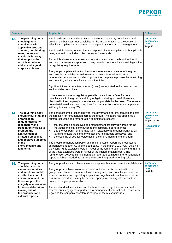

|     | <b>Principle</b>                                                                                                                                                                                                                                                                  | <b>Application</b>                                                                                                                                                                                                                                                                                                                                                                                                                                                                                                                                                                                                                                                                                                                                                                                                                                                                                                                                                                                                                                                                                                                                                                                                                                                                                                                                                           | <b>Reference</b>                                                                          |
|-----|-----------------------------------------------------------------------------------------------------------------------------------------------------------------------------------------------------------------------------------------------------------------------------------|------------------------------------------------------------------------------------------------------------------------------------------------------------------------------------------------------------------------------------------------------------------------------------------------------------------------------------------------------------------------------------------------------------------------------------------------------------------------------------------------------------------------------------------------------------------------------------------------------------------------------------------------------------------------------------------------------------------------------------------------------------------------------------------------------------------------------------------------------------------------------------------------------------------------------------------------------------------------------------------------------------------------------------------------------------------------------------------------------------------------------------------------------------------------------------------------------------------------------------------------------------------------------------------------------------------------------------------------------------------------------|-------------------------------------------------------------------------------------------|
| 13. | The governing body<br>should govern<br>compliance with<br>applicable laws and<br>adopted, non-binding<br>rules, codes and<br>standards in a way<br>that supports the<br>organisation being<br>ethical and a good<br>corporate citizen.                                            | The board sets the standards aimed at ensuring regulatory compliance in all<br>areas of the business. Responsibility for the implementation and execution of<br>effective compliance management is delegated by the board to management.<br>The board, however, retains ultimate responsibility for compliance with applicable<br>laws, adopted non-binding rules, codes and standards.<br>Through business management and reporting structures, the board and audit<br>and risk committee are appraised of any material non-compliance with legislative<br>or regulatory requirements.<br>The group compliance function identifies the regulatory universe of the group<br>and provides an advisory service to the business. Internal audit, as an<br>independent assurance provider, supports the compliance process by monitoring<br>and detecting where compliance risk is identified<br>Significant fines or penalties incurred (if any) are reported to the board and/or<br>audit and risk committee.<br>In the event of material regulatory penalties, sanctions or fines for non-<br>compliance with the group's statutory obligations being incurred, these are<br>disclosed in the company's or as deemed appropriate by the board. There were<br>no material penalties, sanctions, fines for contraventions of or non-compliance<br>with regulations during FY21. | Corporate<br>qovernance<br>report<br>Page 17                                              |
|     | 14. The governing body<br>should ensure that the<br>organisation<br>remunerates fairly,<br>responsibly and<br>transparently so as to<br>promote the<br>achievement of<br>strategic objectives<br>and positive outcomes<br>in the<br>short, medium and<br>long term.               | The board assumes responsibility for the governance of remuneration and sets<br>the direction for remuneration across the group. The board has appointed a<br>human resources and remuneration committee to ensure:<br>that the group's executives and management are fairly rewarded for the<br>$\bullet$<br>individual and joint contribution to the company's performance;<br>$\bullet$<br>that the company remunerates fairly, reasonably and transparently at all<br>levels to enable the company to achieve its strategic objectives; and<br>the securing of positive outcomes in the short, medium and long term.<br>$\bullet$<br>The group's remuneration policy and implementation report are presented to<br>shareholders at each AGM of the company. At the March 2021 AGM, 90.3% of<br>the voting rights exercised were in favour of the remuneration policy and 86.6%<br>of the votes exercised were in favour of the implementation report. The<br>remuneration policy and implementation report are outlined in the remuneration<br>report, which is included as part of the Pepkor integrated reporting suite.                                                                                                                                                                                                                                               | <b>Corporate</b><br>governance<br>report<br>Pages 18, 20<br><b>Remuneration</b><br>report |
|     | 15. The governing body<br>should ensure that<br>assurance services<br>and functions enable<br>an effective control<br>environment and that<br>these support the<br>integrity of information<br>for internal decision-<br>making and of<br>the organisation's<br>external reports. | The group follows a combined assurance approach across three lines of defence.<br>The group's combined assurance model includes, but is not limited to, the<br>group's established internal audit, risk management and compliance functions,<br>external auditors and regulatory inspections, together with such other external<br>assurance providers as may be deemed appropriate, taking into account the<br>nature of the group's operations.<br>The audit and risk committee and the board receive regular reports from the<br>external audit engagement partner, risk management, internal audit, compliance,<br>legal and the company secretary in respect of the relevant issues.                                                                                                                                                                                                                                                                                                                                                                                                                                                                                                                                                                                                                                                                                    | <b>Corporate</b><br>governance<br>report<br>Page 17                                       |